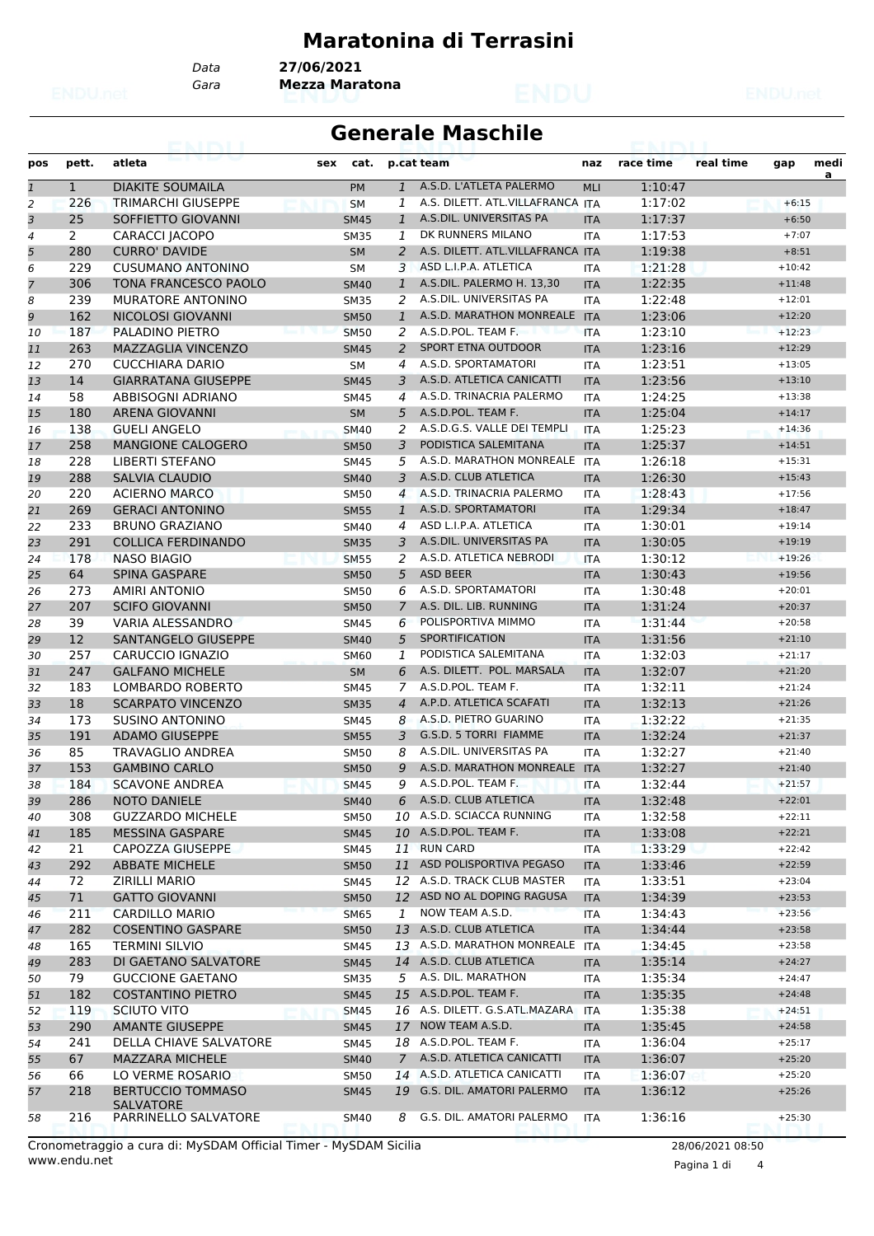#### **Maratonina di Terrasini**

*Data* **27/06/2021**

*Gara* **Mezza Maratona**

|  |  | ۰ | ×.<br>÷ | $\lambda$ |
|--|--|---|---------|-----------|
|  |  |   |         |           |
|  |  |   |         |           |
|  |  | ï |         |           |
|  |  |   |         |           |
|  |  |   |         |           |

#### **Generale Maschile**

| pos            | pett.        | atleta                                         | cat.<br>sex |                 | p.cat team                                  | naz        | race time          | real time | gap                  | medi<br>a |
|----------------|--------------|------------------------------------------------|-------------|-----------------|---------------------------------------------|------------|--------------------|-----------|----------------------|-----------|
| $\mathbf{1}$   | $\mathbf{1}$ | <b>DIAKITE SOUMAILA</b>                        | <b>PM</b>   | $\mathbf{1}$    | A.S.D. L'ATLETA PALERMO                     | <b>MLI</b> | 1:10:47            |           |                      |           |
| 2              | 226          | <b>TRIMARCHI GIUSEPPE</b>                      | <b>SM</b>   | 1               | A.S. DILETT. ATL.VILLAFRANCA ITA            |            | 1:17:02            |           | $+6:15$              |           |
| 3              | 25           | SOFFIETTO GIOVANNI                             | <b>SM45</b> | $\mathbf{1}$    | A.S.DIL. UNIVERSITAS PA                     | <b>ITA</b> | 1:17:37            |           | $+6:50$              |           |
| $\overline{4}$ | 2            | CARACCI JACOPO                                 | <b>SM35</b> | 1               | DK RUNNERS MILANO                           | <b>ITA</b> | 1:17:53            |           | $+7:07$              |           |
| 5              | 280          | <b>CURRO' DAVIDE</b>                           | <b>SM</b>   | $\overline{a}$  | A.S. DILETT. ATL.VILLAFRANCA ITA            |            | 1:19:38            |           | $+8:51$              |           |
| 6              | 229          | <b>CUSUMANO ANTONINO</b>                       | <b>SM</b>   | 3               | ASD L.I.P.A. ATLETICA                       | ITA        | 1:21:28            |           | $+10:42$             |           |
| 7              | 306          | <b>TONA FRANCESCO PAOLO</b>                    | <b>SM40</b> | $\mathbf{1}$    | A.S.DIL. PALERMO H. 13,30                   | <b>ITA</b> | 1:22:35            |           | $+11:48$             |           |
| 8              | 239          | <b>MURATORE ANTONINO</b>                       | <b>SM35</b> | 2               | A.S.DIL. UNIVERSITAS PA                     | <b>ITA</b> | 1:22:48            |           | $+12:01$             |           |
| 9              | 162          | <b>NICOLOSI GIOVANNI</b>                       | <b>SM50</b> | $\mathbf{1}$    | A.S.D. MARATHON MONREALE                    | <b>ITA</b> | 1:23:06            |           | $+12:20$             |           |
| 10             | 187          | PALADINO PIETRO                                | <b>SM50</b> | 2               | A.S.D.POL. TEAM F.                          | <b>ITA</b> | 1:23:10            |           | $+12:23$             |           |
| 11             | 263          | MAZZAGLIA VINCENZO                             | <b>SM45</b> | 2               | <b>SPORT ETNA OUTDOOR</b>                   | <b>ITA</b> | 1:23:16            |           | $+12:29$             |           |
| 12             | 270          | <b>CUCCHIARA DARIO</b>                         | <b>SM</b>   | 4               | A.S.D. SPORTAMATORI                         | <b>ITA</b> | 1:23:51            |           | $+13:05$             |           |
| 13             | 14           | <b>GIARRATANA GIUSEPPE</b>                     | <b>SM45</b> | 3               | A.S.D. ATLETICA CANICATTI                   | <b>ITA</b> | 1:23:56            |           | $+13:10$             |           |
| 14             | 58           | <b>ABBISOGNI ADRIANO</b>                       | SM45        | $\overline{4}$  | A.S.D. TRINACRIA PALERMO                    | ITA        | 1:24:25            |           | $+13:38$             |           |
| 15             | 180          | <b>ARENA GIOVANNI</b>                          | <b>SM</b>   | 5               | A.S.D.POL. TEAM F.                          | <b>ITA</b> | 1:25:04            |           | $+14:17$             |           |
| 16             | 138          | <b>GUELI ANGELO</b>                            | <b>SM40</b> | 2               | A.S.D.G.S. VALLE DEI TEMPLI                 | <b>ITA</b> | 1:25:23            |           | $+14:36$             |           |
| 17             | 258          | MANGIONE CALOGERO                              | <b>SM50</b> | 3               | PODISTICA SALEMITANA                        | <b>ITA</b> | 1:25:37            |           | $+14:51$             |           |
| 18             | 228          | <b>LIBERTI STEFANO</b>                         | <b>SM45</b> | 5               | A.S.D. MARATHON MONREALE ITA                |            | 1:26:18            |           | $+15:31$             |           |
| 19             | 288          | <b>SALVIA CLAUDIO</b>                          | <b>SM40</b> | 3               | A.S.D. CLUB ATLETICA                        | <b>ITA</b> | 1:26:30            |           | $+15:43$             |           |
| 20             | 220          | <b>ACIERNO MARCO</b>                           | <b>SM50</b> | $\overline{4}$  | A.S.D. TRINACRIA PALERMO                    | ITA        | 1:28:43            |           | $+17:56$             |           |
| 21             | 269          | <b>GERACI ANTONINO</b>                         | <b>SM55</b> | 1               | A.S.D. SPORTAMATORI                         | <b>ITA</b> | 1:29:34            |           | $+18:47$             |           |
| 22             | 233          | <b>BRUNO GRAZIANO</b>                          | <b>SM40</b> | 4               | ASD L.I.P.A. ATLETICA                       | <b>ITA</b> | 1:30:01            |           | $+19:14$             |           |
| 23             | 291          | <b>COLLICA FERDINANDO</b>                      | <b>SM35</b> | 3               | A.S.DIL. UNIVERSITAS PA                     | <b>ITA</b> | 1:30:05            |           | $+19:19$             |           |
| 24             | 178          | <b>NASO BIAGIO</b>                             | <b>SM55</b> | 2               | A.S.D. ATLETICA NEBRODI                     | <b>ITA</b> | 1:30:12            |           | $+19:26$             |           |
| 25             | 64           | <b>SPINA GASPARE</b>                           | <b>SM50</b> | 5               | <b>ASD BEER</b>                             | <b>ITA</b> | 1:30:43            |           | $+19:56$             |           |
| 26             | 273          | <b>AMIRI ANTONIO</b>                           | <b>SM50</b> | 6               | A.S.D. SPORTAMATORI                         | ITA        | 1:30:48            |           | $+20:01$             |           |
| 27             | 207          | <b>SCIFO GIOVANNI</b>                          | <b>SM50</b> | $\overline{7}$  | A.S. DIL. LIB. RUNNING                      | <b>ITA</b> | 1:31:24            |           | $+20:37$             |           |
| 28             | 39           | VARIA ALESSANDRO                               | <b>SM45</b> | 6               | POLISPORTIVA MIMMO                          | <b>ITA</b> | 1:31:44            |           | $+20:58$             |           |
| 29             | 12           | SANTANGELO GIUSEPPE                            | <b>SM40</b> | 5               | <b>SPORTIFICATION</b>                       | <b>ITA</b> | 1:31:56            |           | $+21:10$             |           |
| 30             | 257          | CARUCCIO IGNAZIO                               | <b>SM60</b> | 1               | PODISTICA SALEMITANA                        | <b>ITA</b> | 1:32:03            |           | $+21:17$             |           |
| 31             | 247          | <b>GALFANO MICHELE</b>                         | <b>SM</b>   | 6               | A.S. DILETT. POL. MARSALA                   | <b>ITA</b> | 1:32:07            |           | $+21:20$             |           |
| 32             | 183          | LOMBARDO ROBERTO                               | <b>SM45</b> | 7               | A.S.D.POL. TEAM F.                          | ITA        | 1:32:11            |           | $+21:24$             |           |
| 33             | 18           | <b>SCARPATO VINCENZO</b>                       | <b>SM35</b> | $\overline{4}$  | A.P.D. ATLETICA SCAFATI                     | <b>ITA</b> | 1:32:13            |           | $+21:26$             |           |
| 34             | 173          | <b>SUSINO ANTONINO</b>                         | <b>SM45</b> | 8               | A.S.D. PIETRO GUARINO                       | <b>ITA</b> | 1:32:22            |           | $+21:35$             |           |
| 35             | 191          | <b>ADAMO GIUSEPPE</b>                          | <b>SM55</b> | 3               | G.S.D. 5 TORRI FIAMME                       | <b>ITA</b> | 1:32:24            |           | $+21:37$             |           |
| 36             | 85           | <b>TRAVAGLIO ANDREA</b>                        | <b>SM50</b> | 8               | A.S.DIL. UNIVERSITAS PA                     | <b>ITA</b> | 1:32:27            |           | $+21:40$             |           |
| 37             | 153          | <b>GAMBINO CARLO</b>                           | <b>SM50</b> | 9               | A.S.D. MARATHON MONREALE                    | <b>ITA</b> | 1:32:27            |           | $+21:40$             |           |
| 38             | 184          | <b>SCAVONE ANDREA</b>                          | <b>SM45</b> | 9               | A.S.D.POL. TEAM F.                          | <b>ITA</b> | 1:32:44            |           | $+21:57$             |           |
| 39             | 286          | <b>NOTO DANIELE</b>                            | <b>SM40</b> | 6               | A.S.D. CLUB ATLETICA                        | <b>ITA</b> | 1:32:48            |           | $+22:01$             |           |
| 40             | 308          | <b>GUZZARDO MICHELE</b>                        | SM50        |                 | 10 A.S.D. SCIACCA RUNNING                   | ITA        | 1:32:58            |           | $+22:11$             |           |
| 41             | 185          | <b>MESSINA GASPARE</b>                         | <b>SM45</b> |                 | 10 A.S.D.POL. TEAM F.                       | <b>ITA</b> | 1:33:08            |           | $+22:21$             |           |
| 42             | 21           | CAPOZZA GIUSEPPE                               | SM45        |                 | 11 RUN CARD                                 | ITA        | 1:33:29            |           | $+22:42$             |           |
| 43             | 292          | <b>ABBATE MICHELE</b>                          | <b>SM50</b> |                 | 11 ASD POLISPORTIVA PEGASO                  | <b>ITA</b> | 1:33:46            |           | $+22:59$             |           |
| 44             | 72           | <b>ZIRILLI MARIO</b>                           | SM45        | 12              | A.S.D. TRACK CLUB MASTER                    | ITA        | 1:33:51            |           | $+23:04$             |           |
| 45             | 71           | <b>GATTO GIOVANNI</b>                          | <b>SM50</b> |                 | 12 ASD NO AL DOPING RAGUSA                  | <b>ITA</b> | 1:34:39            |           | $+23:53$             |           |
| 46             | 211          | CARDILLO MARIO                                 | <b>SM65</b> | 1               | NOW TEAM A.S.D.                             | <b>ITA</b> | 1:34:43            |           | $+23:56$             |           |
| 47             | 282          | <b>COSENTINO GASPARE</b>                       | <b>SM50</b> | 13              | A.S.D. CLUB ATLETICA                        | <b>ITA</b> | 1:34:44            |           | $+23:58$             |           |
| 48             | 165          | <b>TERMINI SILVIO</b>                          | SM45        |                 | 13 A.S.D. MARATHON MONREALE ITA             |            | 1:34:45            |           | $+23:58$             |           |
|                | 283          | DI GAETANO SALVATORE                           | <b>SM45</b> |                 | 14 A.S.D. CLUB ATLETICA                     |            | 1:35:14            |           | $+24:27$             |           |
| 49             | 79           | <b>GUCCIONE GAETANO</b>                        |             | 5               | A.S. DIL. MARATHON                          | <b>ITA</b> | 1:35:34            |           | $+24:47$             |           |
| 50             |              |                                                | <b>SM35</b> |                 | 15 A.S.D.POL. TEAM F.                       | ITA        |                    |           |                      |           |
| 51             | 182<br>119   | <b>COSTANTINO PIETRO</b><br><b>SCIUTO VITO</b> | <b>SM45</b> |                 | 16 A.S. DILETT. G.S.ATL.MAZARA              | <b>ITA</b> | 1:35:35<br>1:35:38 |           | $+24:48$<br>$+24:51$ |           |
| 52             |              |                                                | <b>SM45</b> |                 |                                             | <b>ITA</b> |                    |           |                      |           |
| 53             | 290          | <b>AMANTE GIUSEPPE</b>                         | <b>SM45</b> |                 | 17 NOW TEAM A.S.D.<br>18 A.S.D.POL. TEAM F. | <b>ITA</b> | 1:35:45            |           | $+24:58$             |           |
| 54             | 241          | DELLA CHIAVE SALVATORE                         | SM45        |                 |                                             | ITA        | 1:36:04            |           | $+25:17$             |           |
| 55             | 67           | <b>MAZZARA MICHELE</b>                         | <b>SM40</b> | $7\overline{ }$ | A.S.D. ATLETICA CANICATTI                   | <b>ITA</b> | 1:36:07            |           | $+25:20$             |           |
| 56             | 66           | LO VERME ROSARIO                               | <b>SM50</b> | 14              | A.S.D. ATLETICA CANICATTI                   | ITA        | 1:36:07            |           | $+25:20$             |           |
| 57             | 218          | <b>BERTUCCIO TOMMASO</b><br><b>SALVATORE</b>   | <b>SM45</b> |                 | 19 G.S. DIL. AMATORI PALERMO                | <b>ITA</b> | 1:36:12            |           | $+25:26$             |           |
| 58             | 216          | PARRINELLO SALVATORE                           | SM40        | 8               | G.S. DIL. AMATORI PALERMO                   | ITA        | 1:36:16            |           | $+25:30$             |           |

www.endu.net Cronometraggio a cura di: MySDAM Official Timer - MySDAM Sicilia 28/06/2021 08:50

Pagina 1 di 4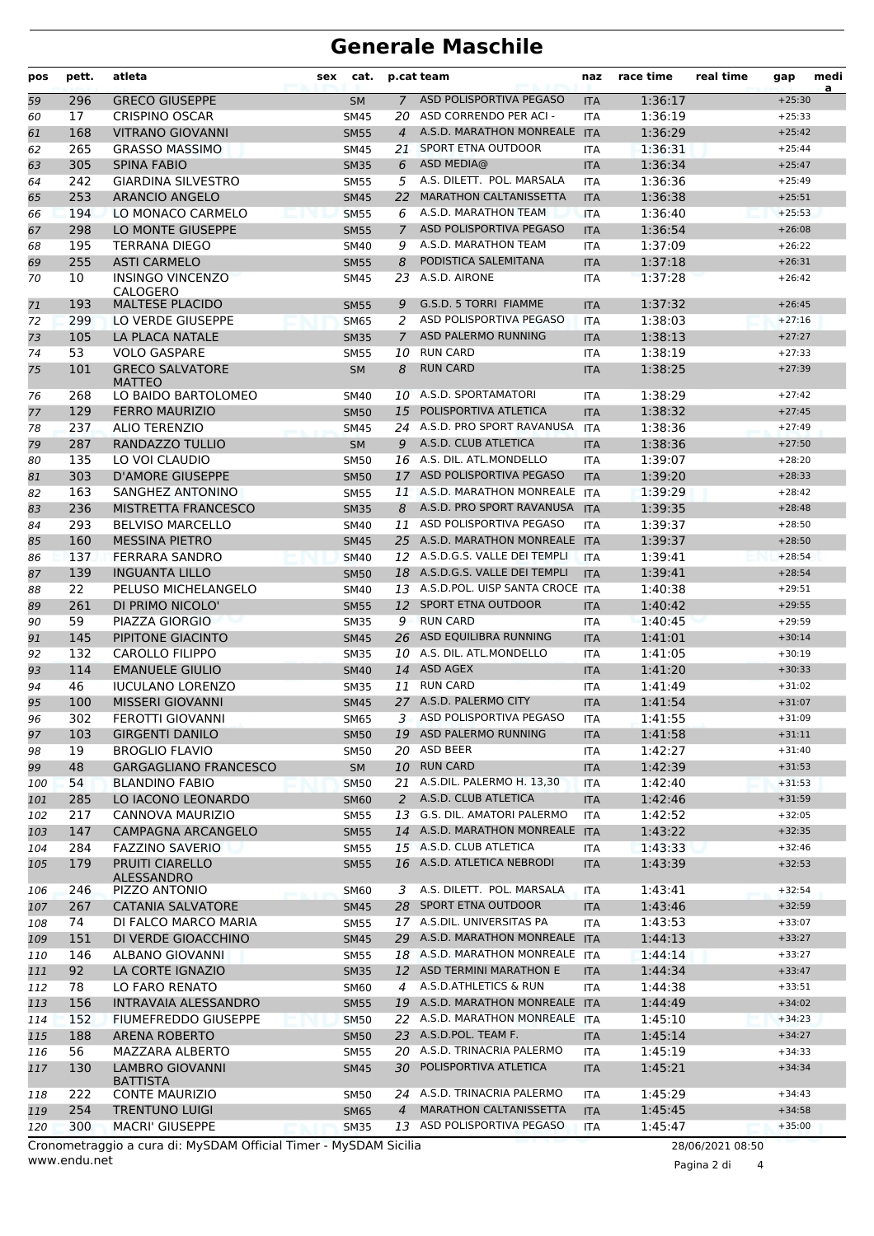# **Generale Maschile**

| pos      | pett.     | atleta                                      | sex | cat.                       |                | p.cat team                               | naz                      | race time          | real time | gap                  | medi<br>a |
|----------|-----------|---------------------------------------------|-----|----------------------------|----------------|------------------------------------------|--------------------------|--------------------|-----------|----------------------|-----------|
| 59       | 296       | <b>GRECO GIUSEPPE</b>                       |     | <b>SM</b>                  | $7^{\circ}$    | ASD POLISPORTIVA PEGASO                  | <b>ITA</b>               | 1:36:17            |           | $+25:30$             |           |
| 60       | 17        | <b>CRISPINO OSCAR</b>                       |     | <b>SM45</b>                | 20             | ASD CORRENDO PER ACI -                   | <b>ITA</b>               | 1:36:19            |           | $+25:33$             |           |
| 61       | 168       | <b>VITRANO GIOVANNI</b>                     |     | <b>SM55</b>                | $\overline{4}$ | A.S.D. MARATHON MONREALE ITA             |                          | 1:36:29            |           | $+25:42$             |           |
| 62       | 265       | <b>GRASSO MASSIMO</b>                       |     | <b>SM45</b>                | 21             | SPORT ETNA OUTDOOR                       | <b>ITA</b>               | 1:36:31            |           | $+25:44$             |           |
| 63       | 305       | <b>SPINA FABIO</b>                          |     | <b>SM35</b>                | 6              | ASD MEDIA@                               | <b>ITA</b>               | 1:36:34            |           | $+25:47$             |           |
| 64       | 242       | <b>GIARDINA SILVESTRO</b>                   |     | <b>SM55</b>                | 5              | A.S. DILETT. POL. MARSALA                | <b>ITA</b>               | 1:36:36            |           | $+25:49$             |           |
| 65       | 253       | <b>ARANCIO ANGELO</b>                       |     | <b>SM45</b>                | 22             | <b>MARATHON CALTANISSETTA</b>            | <b>ITA</b>               | 1:36:38            |           | $+25:51$             |           |
| 66       | 194       | LO MONACO CARMELO                           |     | <b>SM55</b>                | 6              | A.S.D. MARATHON TEAM                     | <b>ITA</b>               | 1:36:40            |           | $+25:53$             |           |
| 67       | 298       | LO MONTE GIUSEPPE                           |     | <b>SM55</b>                | $\overline{7}$ | ASD POLISPORTIVA PEGASO                  | <b>ITA</b>               | 1:36:54            |           | $+26:08$             |           |
| 68       | 195       | <b>TERRANA DIEGO</b>                        |     | <b>SM40</b>                | 9              | A.S.D. MARATHON TEAM                     | <b>ITA</b>               | 1:37:09            |           | $+26:22$             |           |
| 69       | 255       | <b>ASTI CARMELO</b>                         |     | <b>SM55</b>                | 8              | PODISTICA SALEMITANA                     | <b>ITA</b>               | 1:37:18            |           | $+26:31$             |           |
| 70       | 10        | INSINGO VINCENZO<br>CALOGERO                |     | SM45                       |                | 23 A.S.D. AIRONE                         | ITA                      | 1:37:28            |           | $+26:42$             |           |
| 71       | 193       | <b>MALTESE PLACIDO</b>                      |     | <b>SM55</b>                | 9              | G.S.D. 5 TORRI FIAMME                    | <b>ITA</b>               | 1:37:32            |           | $+26:45$             |           |
| 72       | 299       | LO VERDE GIUSEPPE                           |     | <b>SM65</b>                | 2              | ASD POLISPORTIVA PEGASO                  | <b>ITA</b>               | 1:38:03            |           | $+27:16$             |           |
| 73       | 105       | LA PLACA NATALE                             |     | <b>SM35</b>                | $\overline{7}$ | ASD PALERMO RUNNING                      | <b>ITA</b>               | 1:38:13            |           | $+27:27$             |           |
| 74       | 53        | <b>VOLO GASPARE</b>                         |     | <b>SM55</b>                |                | 10 RUN CARD                              | <b>ITA</b>               | 1:38:19            |           | $+27:33$             |           |
| 75       | 101       | <b>GRECO SALVATORE</b><br><b>MATTEO</b>     |     | <b>SM</b>                  | 8              | <b>RUN CARD</b>                          | <b>ITA</b>               | 1:38:25            |           | $+27:39$             |           |
| 76       | 268       | LO BAIDO BARTOLOMEO                         |     | <b>SM40</b>                | 10             | A.S.D. SPORTAMATORI                      | <b>ITA</b>               | 1:38:29            |           | $+27:42$             |           |
| 77       | 129       | <b>FERRO MAURIZIO</b>                       |     | <b>SM50</b>                | 15             | POLISPORTIVA ATLETICA                    | <b>ITA</b>               | 1:38:32            |           | $+27:45$             |           |
| 78       | 237       | <b>ALIO TERENZIO</b>                        |     | <b>SM45</b>                |                | 24 A.S.D. PRO SPORT RAVANUSA             | <b>ITA</b>               | 1:38:36            |           | $+27:49$             |           |
| 79       | 287       | RANDAZZO TULLIO                             |     | <b>SM</b>                  | 9              | A.S.D. CLUB ATLETICA                     | <b>ITA</b>               | 1:38:36            |           | $+27:50$             |           |
| 80       | 135       | LO VOI CLAUDIO                              |     | <b>SM50</b>                |                | 16 A.S. DIL. ATL.MONDELLO                | ITA                      | 1:39:07            |           | $+28:20$             |           |
| 81       | 303       | <b>D'AMORE GIUSEPPE</b>                     |     | <b>SM50</b>                |                | 17 ASD POLISPORTIVA PEGASO               | <b>ITA</b>               | 1:39:20            |           | $+28:33$             |           |
| 82       | 163       | SANGHEZ ANTONINO                            |     | <b>SM55</b>                |                | 11 A.S.D. MARATHON MONREALE              | <b>ITA</b>               | 1:39:29            |           | $+28:42$             |           |
| 83       | 236       | <b>MISTRETTA FRANCESCO</b>                  |     | <b>SM35</b>                | 8              | A.S.D. PRO SPORT RAVANUSA                | <b>ITA</b>               | 1:39:35            |           | $+28:48$             |           |
| 84       | 293       | <b>BELVISO MARCELLO</b>                     |     | <b>SM40</b>                | 11             | ASD POLISPORTIVA PEGASO                  | <b>ITA</b>               | 1:39:37            |           | $+28:50$             |           |
| 85       | 160       | <b>MESSINA PIETRO</b>                       |     | <b>SM45</b>                |                | 25 A.S.D. MARATHON MONREALE              | <b>ITA</b>               | 1:39:37            |           | $+28:50$             |           |
| 86       | 137       | <b>FERRARA SANDRO</b>                       |     | <b>SM40</b>                |                | 12 A.S.D.G.S. VALLE DEI TEMPLI           | <b>ITA</b>               | 1:39:41            |           | $+28:54$             |           |
| 87       | 139       | <b>INGUANTA LILLO</b>                       |     | <b>SM50</b>                |                | 18 A.S.D.G.S. VALLE DEI TEMPLI           | <b>ITA</b>               | 1:39:41            |           | $+28:54$             |           |
| 88       | 22        | PELUSO MICHELANGELO                         |     | <b>SM40</b>                |                | 13 A.S.D.POL. UISP SANTA CROCE ITA       |                          | 1:40:38            |           | $+29:51$             |           |
| 89       | 261       | DI PRIMO NICOLO'                            |     | <b>SM55</b>                |                | 12 SPORT ETNA OUTDOOR                    | <b>ITA</b>               | 1:40:42            |           | $+29:55$             |           |
| 90       | 59        | PIAZZA GIORGIO                              |     | <b>SM35</b>                | 9              | <b>RUN CARD</b>                          | <b>ITA</b>               | 1:40:45            |           | $+29:59$             |           |
| 91       | 145       | PIPITONE GIACINTO                           |     | <b>SM45</b>                | 26             | ASD EQUILIBRA RUNNING                    | <b>ITA</b>               | 1:41:01            |           | $+30:14$             |           |
| 92       | 132       | <b>CAROLLO FILIPPO</b>                      |     | <b>SM35</b>                |                | 10 A.S. DIL. ATL.MONDELLO<br>14 ASD AGEX | <b>ITA</b>               | 1:41:05            |           | $+30:19$             |           |
| 93       | 114       | <b>EMANUELE GIULIO</b>                      |     | <b>SM40</b>                |                | <b>RUN CARD</b>                          | <b>ITA</b>               | 1:41:20            |           | $+30:33$             |           |
| 94       | 46<br>100 | <b>IUCULANO LORENZO</b><br>MISSERI GIOVANNI |     | <b>SM35</b>                | 11             | 27 A.S.D. PALERMO CITY                   | <b>ITA</b>               | 1:41:49            |           | $+31:02$<br>$+31:07$ |           |
| 95<br>96 | 302       | FEROTTI GIOVANNI                            |     | <b>SM45</b><br><b>SM65</b> | 3              | ASD POLISPORTIVA PEGASO                  | <b>ITA</b><br><b>ITA</b> | 1:41:54<br>1:41:55 |           | $+31:09$             |           |
| 97       | 103       | <b>GIRGENTI DANILO</b>                      |     | <b>SM50</b>                |                | 19 ASD PALERMO RUNNING                   |                          | 1:41:58            |           | $+31:11$             |           |
| 98       | 19        | <b>BROGLIO FLAVIO</b>                       |     | SM50                       |                | 20 ASD BEER                              | <b>ITA</b><br><b>ITA</b> | 1:42:27            |           | $+31:40$             |           |
| 99       | 48        | <b>GARGAGLIANO FRANCESCO</b>                |     | SM                         |                | 10 RUN CARD                              | <b>ITA</b>               | 1:42:39            |           | $+31:53$             |           |
| 100      | 54        | <b>BLANDINO FABIO</b>                       |     | <b>SM50</b>                |                | 21 A.S.DIL. PALERMO H. 13,30             | <b>ITA</b>               | 1:42:40            |           | $+31:53$             |           |
| 101      | 285       | LO IACONO LEONARDO                          |     | <b>SM60</b>                |                | 2 A.S.D. CLUB ATLETICA                   | <b>ITA</b>               | 1:42:46            |           | $+31:59$             |           |
| 102      | 217       | CANNOVA MAURIZIO                            |     | SM55                       |                | 13 G.S. DIL. AMATORI PALERMO             | <b>ITA</b>               | 1:42:52            |           | $+32:05$             |           |
| 103      | 147       | <b>CAMPAGNA ARCANGELO</b>                   |     | <b>SM55</b>                |                | 14 A.S.D. MARATHON MONREALE              | <b>ITA</b>               | 1:43:22            |           | $+32:35$             |           |
| 104      | 284       | <b>FAZZINO SAVERIO</b>                      |     | <b>SM55</b>                |                | 15 A.S.D. CLUB ATLETICA                  | ITA                      | 1:43:33            |           | $+32:46$             |           |
| 105      | 179       | <b>PRUITI CIARELLO</b><br><b>ALESSANDRO</b> |     | <b>SM55</b>                |                | 16 A.S.D. ATLETICA NEBRODI               | <b>ITA</b>               | 1:43:39            |           | $+32:53$             |           |
| 106      | 246       | PIZZO ANTONIO                               |     | <b>SM60</b>                | 3              | A.S. DILETT. POL. MARSALA                | <b>ITA</b>               | 1:43:41            |           | $+32:54$             |           |
| 107      | 267       | <b>CATANIA SALVATORE</b>                    |     | <b>SM45</b>                |                | 28 SPORT ETNA OUTDOOR                    | <b>ITA</b>               | 1:43:46            |           | $+32:59$             |           |
| 108      | 74        | DI FALCO MARCO MARIA                        |     | SM55                       |                | 17 A.S.DIL. UNIVERSITAS PA               | ITA                      | 1:43:53            |           | $+33:07$             |           |
| 109      | 151       | DI VERDE GIOACCHINO                         |     | <b>SM45</b>                |                | 29 A.S.D. MARATHON MONREALE              | <b>ITA</b>               | 1:44:13            |           | $+33:27$             |           |
| 110      | 146       | ALBANO GIOVANNI                             |     | SM55                       |                | 18 A.S.D. MARATHON MONREALE ITA          |                          | 1:44:14            |           | $+33:27$             |           |
| 111      | 92        | LA CORTE IGNAZIO                            |     | <b>SM35</b>                |                | 12 ASD TERMINI MARATHON E                | <b>ITA</b>               | 1:44:34            |           | $+33:47$             |           |
| 112      | 78        | LO FARO RENATO                              |     | <b>SM60</b>                | 4              | A.S.D.ATHLETICS & RUN                    | <b>ITA</b>               | 1:44:38            |           | $+33:51$             |           |
| 113      | 156       | <b>INTRAVAIA ALESSANDRO</b>                 |     | <b>SM55</b>                |                | 19 A.S.D. MARATHON MONREALE              | <b>ITA</b>               | 1:44:49            |           | $+34:02$             |           |
| 114      | 152       | FIUMEFREDDO GIUSEPPE                        |     | <b>SM50</b>                |                | 22 A.S.D. MARATHON MONREALE              | <b>ITA</b>               | 1:45:10            |           | $+34:23$             |           |
| 115      | 188       | <b>ARENA ROBERTO</b>                        |     | <b>SM50</b>                |                | 23 A.S.D.POL. TEAM F.                    | <b>ITA</b>               | 1:45:14            |           | $+34:27$             |           |
| 116      | 56        | MAZZARA ALBERTO                             |     | <b>SM55</b>                |                | 20 A.S.D. TRINACRIA PALERMO              | <b>ITA</b>               | 1:45:19            |           | $+34:33$             |           |
| 117      | 130       | <b>LAMBRO GIOVANNI</b><br><b>BATTISTA</b>   |     | <b>SM45</b>                |                | 30 POLISPORTIVA ATLETICA                 | <b>ITA</b>               | 1:45:21            |           | $+34:34$             |           |
| 118      | 222       | <b>CONTE MAURIZIO</b>                       |     | SM50                       |                | 24 A.S.D. TRINACRIA PALERMO              | <b>ITA</b>               | 1:45:29            |           | $+34:43$             |           |
| 119      | 254       | TRENTUNO LUIGI                              |     | <b>SM65</b>                | $\overline{4}$ | <b>MARATHON CALTANISSETTA</b>            | <b>ITA</b>               | 1:45:45            |           | $+34:58$             |           |
| 120      | 300       | <b>MACRI' GIUSEPPE</b>                      |     | <b>SM35</b>                |                | 13 ASD POLISPORTIVA PEGASO               | <b>ITA</b>               | 1:45:47            |           | $+35:00$             |           |

www.endu.net Cronometraggio a cura di: MySDAM Official Timer - MySDAM Sicilia 28/06/2021 08:50

Pagina 2 di 4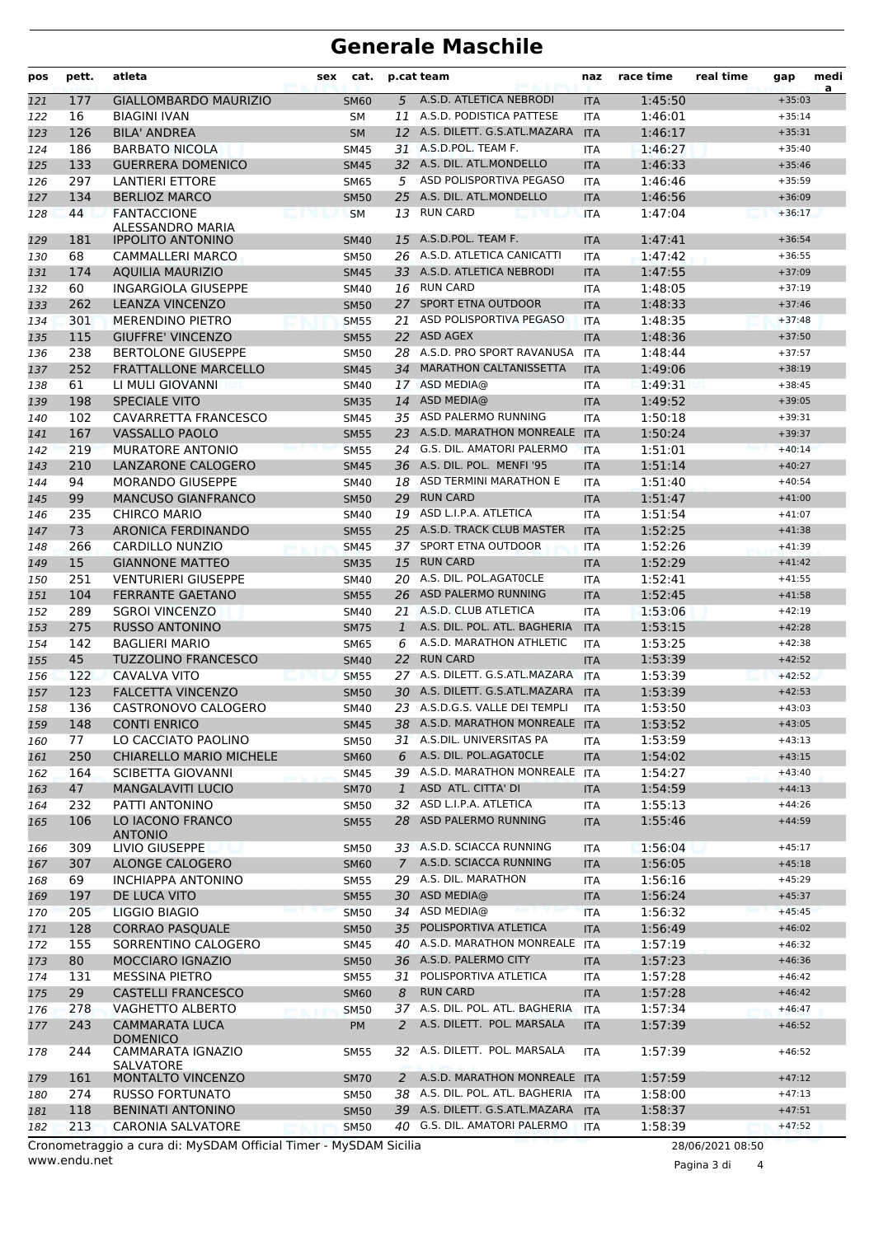# **Generale Maschile**

| pos | pett. | atleta                                       | sex                   | cat.        |              | p.cat team                      | naz        | race time | real time | gap      | medi<br>a |
|-----|-------|----------------------------------------------|-----------------------|-------------|--------------|---------------------------------|------------|-----------|-----------|----------|-----------|
| 121 | 177   | <b>GIALLOMBARDO MAURIZIO</b>                 |                       | <b>SM60</b> |              | 5 A.S.D. ATLETICA NEBRODI       | <b>ITA</b> | 1:45:50   |           | $+35:03$ |           |
| 122 | 16    | <b>BIAGINI IVAN</b>                          |                       | <b>SM</b>   | 11           | A.S.D. PODISTICA PATTESE        | <b>ITA</b> | 1:46:01   |           | $+35:14$ |           |
| 123 | 126   | <b>BILA' ANDREA</b>                          |                       | <b>SM</b>   |              | 12 A.S. DILETT. G.S.ATL.MAZARA  | <b>ITA</b> | 1:46:17   |           | $+35:31$ |           |
| 124 | 186   | <b>BARBATO NICOLA</b>                        |                       | SM45        |              | 31 A.S.D.POL. TEAM F.           | ITA        | 1:46:27   |           | $+35:40$ |           |
| 125 | 133   | <b>GUERRERA DOMENICO</b>                     |                       | <b>SM45</b> |              | 32 A.S. DIL. ATL.MONDELLO       | <b>ITA</b> | 1:46:33   |           | $+35:46$ |           |
| 126 | 297   | <b>LANTIERI ETTORE</b>                       |                       | <b>SM65</b> | 5            | ASD POLISPORTIVA PEGASO         | <b>ITA</b> | 1:46:46   |           | $+35:59$ |           |
| 127 | 134   | <b>BERLIOZ MARCO</b>                         |                       | <b>SM50</b> | 25           | A.S. DIL. ATL.MONDELLO          | <b>ITA</b> | 1:46:56   |           | $+36:09$ |           |
| 128 | 44    | <b>FANTACCIONE</b>                           | <b>A STAR PRODUCT</b> | <b>SM</b>   | 13           | <b>RUN CARD</b>                 | <b>ITA</b> | 1:47:04   |           | $+36:17$ |           |
| 129 | 181   | ALESSANDRO MARIA<br><b>IPPOLITO ANTONINO</b> |                       | <b>SM40</b> | 15           | A.S.D.POL. TEAM F.              | <b>ITA</b> | 1:47:41   |           | $+36:54$ |           |
| 130 | 68    | <b>CAMMALLERI MARCO</b>                      |                       | SM50        | 26           | A.S.D. ATLETICA CANICATTI       | <b>ITA</b> | 1:47:42   |           | $+36:55$ |           |
| 131 | 174   | <b>AQUILIA MAURIZIO</b>                      |                       | <b>SM45</b> |              | 33 A.S.D. ATLETICA NEBRODI      | <b>ITA</b> | 1:47:55   |           | $+37:09$ |           |
| 132 | 60    | INGARGIOLA GIUSEPPE                          |                       | <b>SM40</b> | 16           | RUN CARD                        | <b>ITA</b> | 1:48:05   |           | $+37:19$ |           |
| 133 | 262   | <b>LEANZA VINCENZO</b>                       |                       | <b>SM50</b> | 27           | <b>SPORT ETNA OUTDOOR</b>       | <b>ITA</b> | 1:48:33   |           | $+37:46$ |           |
| 134 | 301   | <b>MERENDINO PIETRO</b>                      |                       | <b>SM55</b> | 21           | ASD POLISPORTIVA PEGASO         | <b>ITA</b> | 1:48:35   |           | $+37:48$ |           |
| 135 | 115   | <b>GIUFFRE' VINCENZO</b>                     |                       | <b>SM55</b> | 22           | ASD AGEX                        | <b>ITA</b> | 1:48:36   |           | $+37:50$ |           |
| 136 | 238   | <b>BERTOLONE GIUSEPPE</b>                    |                       | SM50        |              | 28 A.S.D. PRO SPORT RAVANUSA    | <b>ITA</b> | 1:48:44   |           | $+37:57$ |           |
| 137 | 252   | <b>FRATTALLONE MARCELLO</b>                  |                       | <b>SM45</b> | 34           | <b>MARATHON CALTANISSETTA</b>   | <b>ITA</b> | 1:49:06   |           | $+38:19$ |           |
| 138 | 61    | LI MULI GIOVANNI                             |                       | <b>SM40</b> |              | 17 ASD MEDIA@                   | <b>ITA</b> | 1:49:31   |           | $+38:45$ |           |
| 139 | 198   | <b>SPECIALE VITO</b>                         |                       | <b>SM35</b> | 14           | ASD MEDIA@                      | <b>ITA</b> | 1:49:52   |           | $+39:05$ |           |
| 140 | 102   | CAVARRETTA FRANCESCO                         |                       | <b>SM45</b> | 35           | ASD PALERMO RUNNING             | <b>ITA</b> | 1:50:18   |           | $+39:31$ |           |
| 141 | 167   | <b>VASSALLO PAOLO</b>                        |                       | <b>SM55</b> |              | 23 A.S.D. MARATHON MONREALE     | <b>ITA</b> | 1:50:24   |           | $+39:37$ |           |
| 142 | 219   | <b>MURATORE ANTONIO</b>                      |                       | <b>SM55</b> | 24           | G.S. DIL. AMATORI PALERMO       | <b>ITA</b> | 1:51:01   |           | $+40:14$ |           |
| 143 | 210   | LANZARONE CALOGERO                           |                       | <b>SM45</b> |              | 36 A.S. DIL. POL. MENFI '95     | <b>ITA</b> | 1:51:14   |           | $+40:27$ |           |
| 144 | 94    | <b>MORANDO GIUSEPPE</b>                      |                       | <b>SM40</b> |              | 18 ASD TERMINI MARATHON E       | <b>ITA</b> | 1:51:40   |           | $+40:54$ |           |
| 145 | 99    | <b>MANCUSO GIANFRANCO</b>                    |                       | <b>SM50</b> | 29           | <b>RUN CARD</b>                 | <b>ITA</b> | 1:51:47   |           | $+41:00$ |           |
| 146 | 235   | <b>CHIRCO MARIO</b>                          |                       | <b>SM40</b> | 19           | ASD L.I.P.A. ATLETICA           | <b>ITA</b> | 1:51:54   |           | $+41:07$ |           |
| 147 | 73    | ARONICA FERDINANDO                           |                       | <b>SM55</b> | 25.          | A.S.D. TRACK CLUB MASTER        | <b>ITA</b> | 1:52:25   |           | $+41:38$ |           |
| 148 | 266   | CARDILLO NUNZIO                              |                       | <b>SM45</b> | 37           | SPORT ETNA OUTDOOR              | <b>ITA</b> | 1:52:26   |           | $+41:39$ |           |
| 149 | 15    | <b>GIANNONE MATTEO</b>                       |                       | <b>SM35</b> | 15           | <b>RUN CARD</b>                 | <b>ITA</b> | 1:52:29   |           | $+41:42$ |           |
| 150 | 251   | <b>VENTURIERI GIUSEPPE</b>                   |                       | <b>SM40</b> | 20           | A.S. DIL. POL.AGATOCLE          | <b>ITA</b> | 1:52:41   |           | $+41:55$ |           |
| 151 | 104   | <b>FERRANTE GAETANO</b>                      |                       | <b>SM55</b> | 26           | ASD PALERMO RUNNING             | <b>ITA</b> | 1:52:45   |           | $+41:58$ |           |
| 152 | 289   | <b>SGROI VINCENZO</b>                        |                       | SM40        |              | 21 A.S.D. CLUB ATLETICA         | <b>ITA</b> | 1:53:06   |           | $+42:19$ |           |
| 153 | 275   | <b>RUSSO ANTONINO</b>                        |                       | <b>SM75</b> | $\mathbf{1}$ | A.S. DIL. POL. ATL. BAGHERIA    | <b>ITA</b> | 1:53:15   |           | $+42:28$ |           |
| 154 | 142   | <b>BAGLIERI MARIO</b>                        |                       | SM65        | 6            | A.S.D. MARATHON ATHLETIC        | <b>ITA</b> | 1:53:25   |           | $+42:38$ |           |
| 155 | 45    | <b>TUZZOLINO FRANCESCO</b>                   |                       | <b>SM40</b> |              | 22 RUN CARD                     | <b>ITA</b> | 1:53:39   |           | $+42:52$ |           |
| 156 | 122   | <b>CAVALVA VITO</b>                          |                       | <b>SM55</b> |              | 27 A.S. DILETT. G.S.ATL.MAZARA  | <b>ITA</b> | 1:53:39   |           | $+42:52$ |           |
| 157 | 123   | <b>FALCETTA VINCENZO</b>                     |                       | <b>SM50</b> | 30           | A.S. DILETT. G.S.ATL.MAZARA     | <b>ITA</b> | 1:53:39   |           | $+42:53$ |           |
| 158 | 136   | CASTRONOVO CALOGERO                          |                       | SM40        |              | 23 A.S.D.G.S. VALLE DEI TEMPLI  | <b>ITA</b> | 1:53:50   |           | $+43:03$ |           |
| 159 | 148   | <b>CONTI ENRICO</b>                          |                       | <b>SM45</b> |              | 38 A.S.D. MARATHON MONREALE     | <b>ITA</b> | 1:53:52   |           | $+43:05$ |           |
| 160 | 77    | LO CACCIATO PAOLINO                          |                       | <b>SM50</b> |              | 31 A.S.DIL. UNIVERSITAS PA      | ITA        | 1:53:59   |           | $+43:13$ |           |
| 161 | 250   | <b>CHIARELLO MARIO MICHELE</b>               |                       | <b>SM60</b> |              | 6 A.S. DIL. POL.AGATOCLE        | <b>ITA</b> | 1:54:02   |           | $+43:15$ |           |
| 162 | 164   | <b>SCIBETTA GIOVANNI</b>                     |                       | <b>SM45</b> |              | 39 A.S.D. MARATHON MONREALE     | <b>ITA</b> | 1:54:27   |           | $+43:40$ |           |
| 163 | 47    | <b>MANGALAVITI LUCIO</b>                     |                       | <b>SM70</b> | $\mathbf{1}$ | ASD ATL. CITTA' DI              | <b>ITA</b> | 1:54:59   |           | $+44:13$ |           |
| 164 | 232   | PATTI ANTONINO                               |                       | SM50        |              | 32 ASD L.I.P.A. ATLETICA        | ITA        | 1:55:13   |           | $+44:26$ |           |
| 165 | 106   | LO IACONO FRANCO<br><b>ANTONIO</b>           |                       | <b>SM55</b> |              | 28 ASD PALERMO RUNNING          | <b>ITA</b> | 1:55:46   |           | $+44:59$ |           |
| 166 | 309   | LIVIO GIUSEPPE                               |                       | SM50        |              | 33 A.S.D. SCIACCA RUNNING       | ITA        | 1:56:04   |           | $+45:17$ |           |
| 167 | 307   | ALONGE CALOGERO                              |                       | <b>SM60</b> |              | 7 A.S.D. SCIACCA RUNNING        | <b>ITA</b> | 1:56:05   |           | $+45:18$ |           |
| 168 | 69    | <b>INCHIAPPA ANTONINO</b>                    |                       | SM55        |              | 29 A.S. DIL. MARATHON           | ITA        | 1:56:16   |           | $+45:29$ |           |
| 169 | 197   | DE LUCA VITO                                 |                       | <b>SM55</b> |              | 30 ASD MEDIA@                   | <b>ITA</b> | 1:56:24   |           | $+45:37$ |           |
| 170 | 205   | LIGGIO BIAGIO                                |                       | <b>SM50</b> |              | 34 ASD MEDIA@                   | <b>ITA</b> | 1:56:32   |           | $+45:45$ |           |
| 171 | 128   | <b>CORRAO PASQUALE</b>                       |                       | <b>SM50</b> |              | 35 POLISPORTIVA ATLETICA        | <b>ITA</b> | 1:56:49   |           | $+46:02$ |           |
| 172 | 155   | SORRENTINO CALOGERO                          |                       | SM45        |              | 40 A.S.D. MARATHON MONREALE     | <b>ITA</b> | 1:57:19   |           | $+46:32$ |           |
| 173 | 80    | MOCCIARO IGNAZIO                             |                       | <b>SM50</b> |              | 36 A.S.D. PALERMO CITY          | <b>ITA</b> | 1:57:23   |           | $+46:36$ |           |
| 174 | 131   | <b>MESSINA PIETRO</b>                        |                       | <b>SM55</b> |              | 31 POLISPORTIVA ATLETICA        | ITA        | 1:57:28   |           | $+46:42$ |           |
| 175 | 29    | <b>CASTELLI FRANCESCO</b>                    |                       | <b>SM60</b> | 8            | <b>RUN CARD</b>                 | <b>ITA</b> | 1:57:28   |           | $+46:42$ |           |
| 176 | 278   | <b>VAGHETTO ALBERTO</b>                      |                       | <b>SM50</b> | 37           | A.S. DIL. POL. ATL. BAGHERIA    | <b>ITA</b> | 1:57:34   |           | $+46:47$ |           |
| 177 | 243   | <b>CAMMARATA LUCA</b>                        |                       | PM          | 2            | A.S. DILETT. POL. MARSALA       | <b>ITA</b> | 1:57:39   |           | $+46:52$ |           |
|     |       | <b>DOMENICO</b>                              |                       |             |              |                                 |            |           |           |          |           |
| 178 | 244   | CAMMARATA IGNAZIO<br><b>SALVATORE</b>        |                       | <b>SM55</b> |              | 32 A.S. DILETT. POL. MARSALA    | ITA        | 1:57:39   |           | $+46:52$ |           |
| 179 | 161   | MONTALTO VINCENZO                            |                       | <b>SM70</b> |              | 2 A.S.D. MARATHON MONREALE ITA  |            | 1:57:59   |           | $+47:12$ |           |
| 180 | 274   | <b>RUSSO FORTUNATO</b>                       |                       | SM50        |              | 38 A.S. DIL. POL. ATL. BAGHERIA | <b>ITA</b> | 1:58:00   |           | $+47:13$ |           |
| 181 | 118   | <b>BENINATI ANTONINO</b>                     |                       | <b>SM50</b> |              | 39 A.S. DILETT. G.S.ATL.MAZARA  | <b>ITA</b> | 1:58:37   |           | $+47:51$ |           |
| 182 | 213   | <b>CARONIA SALVATORE</b>                     |                       | <b>SM50</b> |              | 40 G.S. DIL. AMATORI PALERMO    | <b>ITA</b> | 1:58:39   |           | $+47:52$ |           |
|     |       |                                              |                       |             |              |                                 |            |           |           |          |           |

www.endu.net Cronometraggio a cura di: MySDAM Official Timer - MySDAM Sicilia 28/06/2021 08:50

Pagina 3 di 4